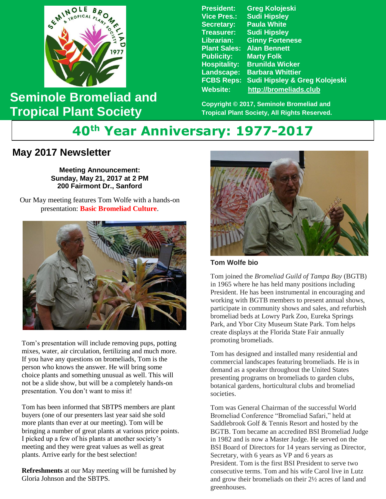

**Seminole Bromeliad and Tropical Plant Society**

**President: Greg Kolojeski Vice Pres.: Sudi Hipsley Secretary: Paula White Treasurer: Sudi Hipsley Librarian: Ginny Fortenese Plant Sales: Alan Bennett Marty Folk Hospitality: Brunilda Wicker Landscape: Barbara Whittier FCBS Reps: Sudi Hipsley & Greg Kolojeski Website: [http://bromeliads.club](http://bromeliads.club/)**

**Copyright © 2017, Seminole Bromeliad and Tropical Plant Society, All Rights Reserved.**

# **40th Year Anniversary: 1977-2017**

# **May 2017 Newsletter**

 **Bill Haynes' Garden Stone Sunday, May 21, 2017 at 2 PM Meeting Announcement: 200 Fairmont Dr., Sanford**

Our May meeting features Tom Wolfe with a hands-on<br> **Examplied Culture** presentation: **Basic Bromeliad Culture**.



Tom's presentation will include removing pups, potting mixes, water, air circulation, fertilizing and much more. If you have any questions on bromeliads, Tom is the person who knows the answer. He will bring some choice plants and something unusual as well. This will not be a slide show, but will be a completely hands-on presentation. You don't want to miss it!

Tom has been informed that SBTPS members are plant buyers (one of our presenters last year said she sold more plants than ever at our meeting). Tom will be bringing a number of great plants at various price points. I picked up a few of his plants at another society's meeting and they were great values as well as great plants. Arrive early for the best selection!

**Refreshments** at our May meeting will be furnished by Gloria Johnson and the SBTPS.



**Tom Wolfe bio**

Tom joined the *Bromeliad Guild of Tampa Bay* (BGTB) in 1965 where he has held many positions including President. He has been instrumental in encouraging and working with BGTB members to present annual shows, participate in community shows and sales, and refurbish bromeliad beds at Lowry Park Zoo, Eureka Springs Park, and Ybor City Museum State Park. Tom helps create displays at the Florida State Fair annually promoting bromeliads.

Tom has designed and installed many residential and commercial landscapes featuring bromeliads. He is in demand as a speaker throughout the United States presenting programs on bromeliads to garden clubs, botanical gardens, horticultural clubs and bromeliad societies.

Tom was General Chairman of the successful World Bromeliad Conference "Bromeliad Safari," held at Saddlebrook Golf & Tennis Resort and hosted by the BGTB. Tom became an accredited BSI Bromeliad Judge in 1982 and is now a Master Judge. He served on the BSI Board of Directors for 14 years serving as Director, Secretary, with 6 years as VP and 6 years as President. Tom is the first BSI President to serve two consecutive terms. Tom and his wife Carol live in Lutz and grow their bromeliads on their 2½ acres of land and greenhouses.